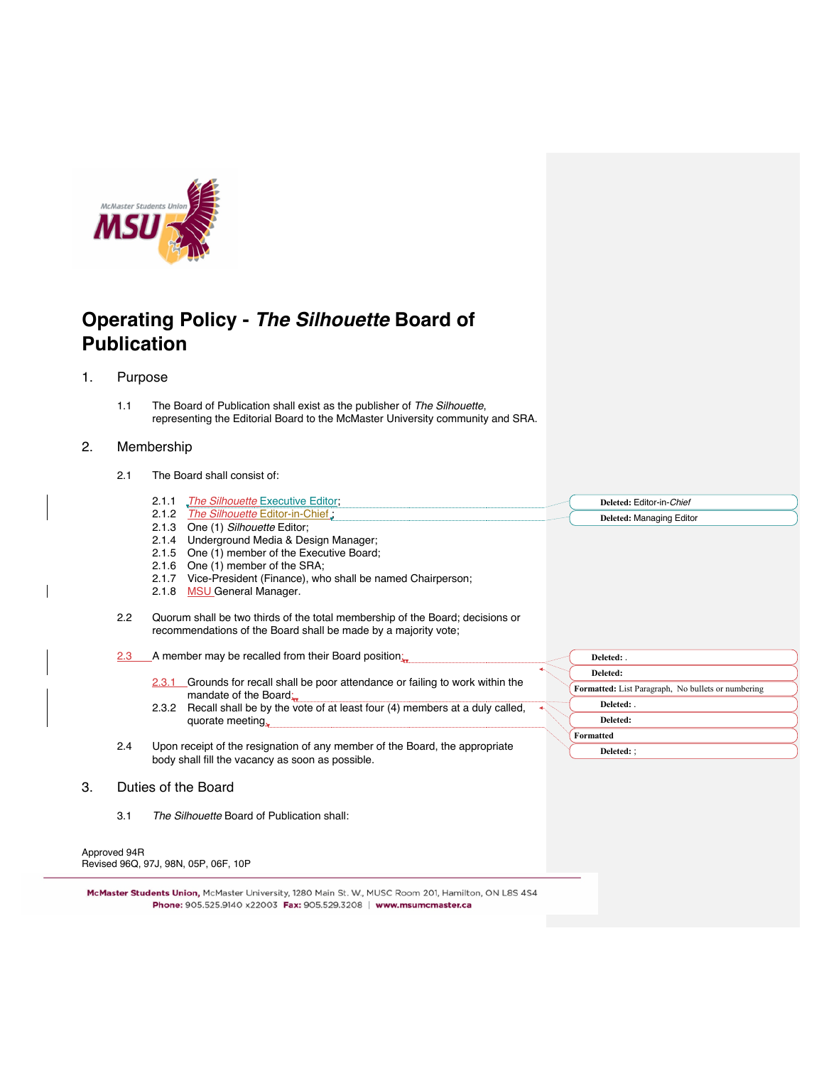

# **Operating Policy -** *The Silhouette* **Board of Publication**

## 1. Purpose

1.1 The Board of Publication shall exist as the publisher of *The Silhouette*, representing the Editorial Board to the McMaster University community and SRA.

#### 2. Membership

- 2.1 The Board shall consist of:
	- 2.1.1 *The Silhouette* Executive Editor; **Deleted:** Editor-in-*Chief*
	- 2.1.2 *The Silhouette* Editor-in-Chief ;
	- 2.1.3 One (1) *Silhouette* Editor; 2.1.4 Underground Media & Design Manager;
	- 2.1.5 One (1) member of the Executive Board;
	- 2.1.6 One (1) member of the SRA;
	-
	- 2.1.7 Vice-President (Finance), who shall be named Chairperson;
	- 2.1.8 MSU General Manager.
- 2.2 Quorum shall be two thirds of the total membership of the Board; decisions or recommendations of the Board shall be made by a majority vote;
- 2.3 A member may be recalled from their Board position:
	- 2.3.1 Grounds for recall shall be poor attendance or failing to work within the mandate of the Board;
	- 2.3.2 Recall shall be by the vote of at least four (4) members at a duly called, quorate meeting.
- 2.4 Upon receipt of the resignation of any member of the Board, the appropriate body shall fill the vacancy as soon as possible.

## 3. Duties of the Board

3.1 *The Silhouette* Board of Publication shall:

Approved 94R Revised 96Q, 97J, 98N, 05P, 06F, 10P

McMaster Students Union, McMaster University, 1280 Main St. W., MUSC Room 201, Hamilton, ON L8S 4S4 

| Deleted: .                                         |
|----------------------------------------------------|
| Deleted:                                           |
| Formatted: List Paragraph, No bullets or numbering |
| Deleted:                                           |
| Deleted:                                           |
| Formatted                                          |
| <b>Deleted: :</b>                                  |

**Deleted:** Managing Editor